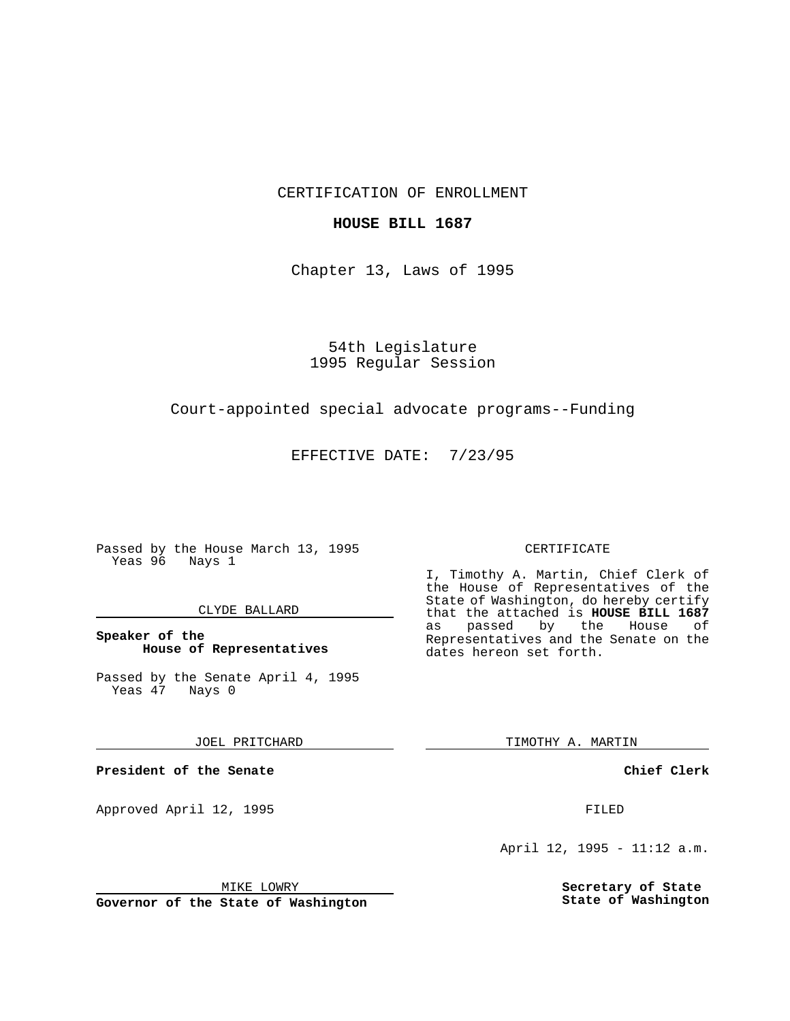CERTIFICATION OF ENROLLMENT

# **HOUSE BILL 1687**

Chapter 13, Laws of 1995

54th Legislature 1995 Regular Session

# Court-appointed special advocate programs--Funding

EFFECTIVE DATE: 7/23/95

Passed by the House March 13, 1995 Yeas 96 Nays 1

### CLYDE BALLARD

# **Speaker of the House of Representatives**

Passed by the Senate April 4, 1995<br>Yeas 47 Nays 0 Yeas 47

#### JOEL PRITCHARD

**President of the Senate**

Approved April 12, 1995 FILED

# CERTIFICATE

I, Timothy A. Martin, Chief Clerk of the House of Representatives of the State of Washington, do hereby certify that the attached is **HOUSE BILL 1687** as passed by the Representatives and the Senate on the dates hereon set forth.

TIMOTHY A. MARTIN

**Chief Clerk**

April 12, 1995 - 11:12 a.m.

**Secretary of State State of Washington**

MIKE LOWRY

**Governor of the State of Washington**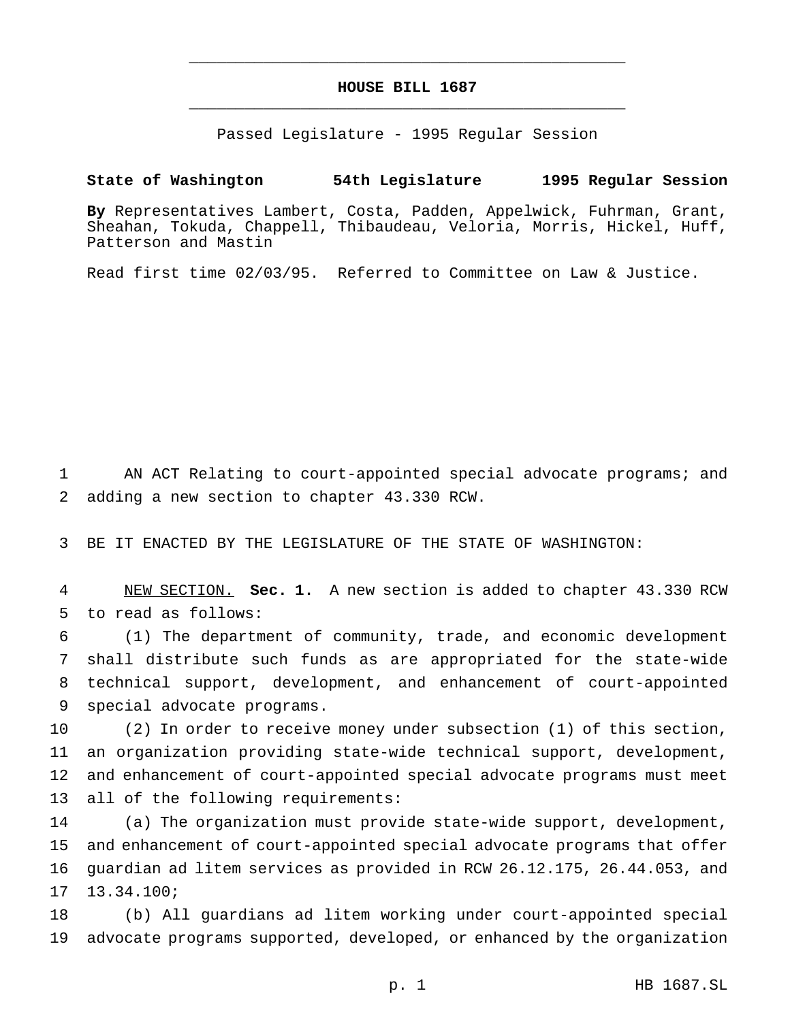# **HOUSE BILL 1687** \_\_\_\_\_\_\_\_\_\_\_\_\_\_\_\_\_\_\_\_\_\_\_\_\_\_\_\_\_\_\_\_\_\_\_\_\_\_\_\_\_\_\_\_\_\_\_

\_\_\_\_\_\_\_\_\_\_\_\_\_\_\_\_\_\_\_\_\_\_\_\_\_\_\_\_\_\_\_\_\_\_\_\_\_\_\_\_\_\_\_\_\_\_\_

Passed Legislature - 1995 Regular Session

# **State of Washington 54th Legislature 1995 Regular Session**

**By** Representatives Lambert, Costa, Padden, Appelwick, Fuhrman, Grant, Sheahan, Tokuda, Chappell, Thibaudeau, Veloria, Morris, Hickel, Huff, Patterson and Mastin

Read first time 02/03/95. Referred to Committee on Law & Justice.

 AN ACT Relating to court-appointed special advocate programs; and adding a new section to chapter 43.330 RCW.

BE IT ENACTED BY THE LEGISLATURE OF THE STATE OF WASHINGTON:

 NEW SECTION. **Sec. 1.** A new section is added to chapter 43.330 RCW to read as follows:

 (1) The department of community, trade, and economic development shall distribute such funds as are appropriated for the state-wide technical support, development, and enhancement of court-appointed special advocate programs.

 (2) In order to receive money under subsection (1) of this section, an organization providing state-wide technical support, development, and enhancement of court-appointed special advocate programs must meet all of the following requirements:

 (a) The organization must provide state-wide support, development, and enhancement of court-appointed special advocate programs that offer guardian ad litem services as provided in RCW 26.12.175, 26.44.053, and 13.34.100;

 (b) All guardians ad litem working under court-appointed special advocate programs supported, developed, or enhanced by the organization